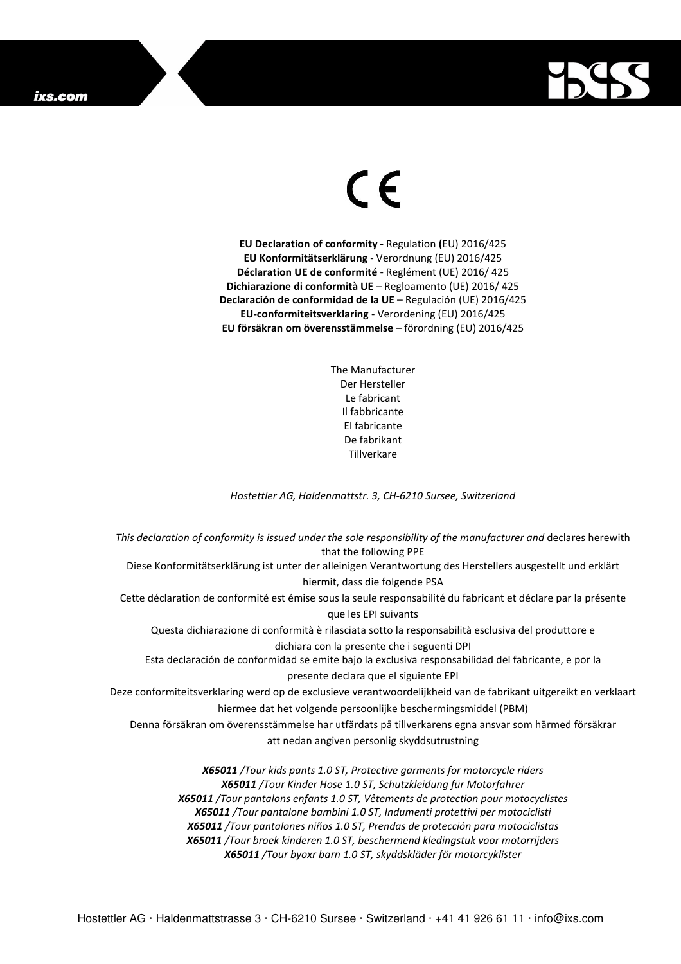## ixs.com



## $\in$

**EU Declaration of conformity -** Regulation **(**EU) 2016/425 **EU Konformitätserklärung** - Verordnung (EU) 2016/425 **Déclaration UE de conformité** - Reglément (UE) 2016/ 425 **Dichiarazione di conformità UE** – Regloamento (UE) 2016/ 425 **Declaración de conformidad de la UE** – Regulación (UE) 2016/425 **EU-conformiteitsverklaring** - Verordening (EU) 2016/425 **EU försäkran om överensstämmelse** – förordning (EU) 2016/425

> The Manufacturer Der Hersteller Le fabricant Il fabbricante El fabricante De fabrikant **Tillverkare**

*Hostettler AG, Haldenmattstr. 3, CH-6210 Sursee, Switzerland* 

*This declaration of conformity is issued under the sole responsibility of the manufacturer and* declares herewith that the following PPE Diese Konformitätserklärung ist unter der alleinigen Verantwortung des Herstellers ausgestellt und erklärt hiermit, dass die folgende PSA Cette déclaration de conformité est émise sous la seule responsabilité du fabricant et déclare par la présente que les EPI suivants Questa dichiarazione di conformità è rilasciata sotto la responsabilità esclusiva del produttore e dichiara con la presente che i seguenti DPI Esta declaración de conformidad se emite bajo la exclusiva responsabilidad del fabricante, e por la presente declara que el siguiente EPI Deze conformiteitsverklaring werd op de exclusieve verantwoordelijkheid van de fabrikant uitgereikt en verklaart hiermee dat het volgende persoonlijke beschermingsmiddel (PBM) Denna försäkran om överensstämmelse har utfärdats på tillverkarens egna ansvar som härmed försäkrar att nedan angiven personlig skyddsutrustning *X65011 /Tour kids pants 1.0 ST, Protective garments for motorcycle riders X65011 /Tour Kinder Hose 1.0 ST, Schutzkleidung für Motorfahrer X65011 /Tour pantalons enfants 1.0 ST, Vêtements de protection pour motocyclistes X65011 /Tour pantalone bambini 1.0 ST, Indumenti protettivi per motociclisti* 

*X65011 /Tour pantalones niños 1.0 ST, Prendas de protección para motociclistas X65011 /Tour broek kinderen 1.0 ST, beschermend kledingstuk voor motorrijders X65011 /Tour byoxr barn 1.0 ST, skyddskläder för motorcyklister* 

Hostettler AG · Haldenmattstrasse 3 · CH-6210 Sursee · Switzerland · +41 41 926 61 11 · info@ixs.com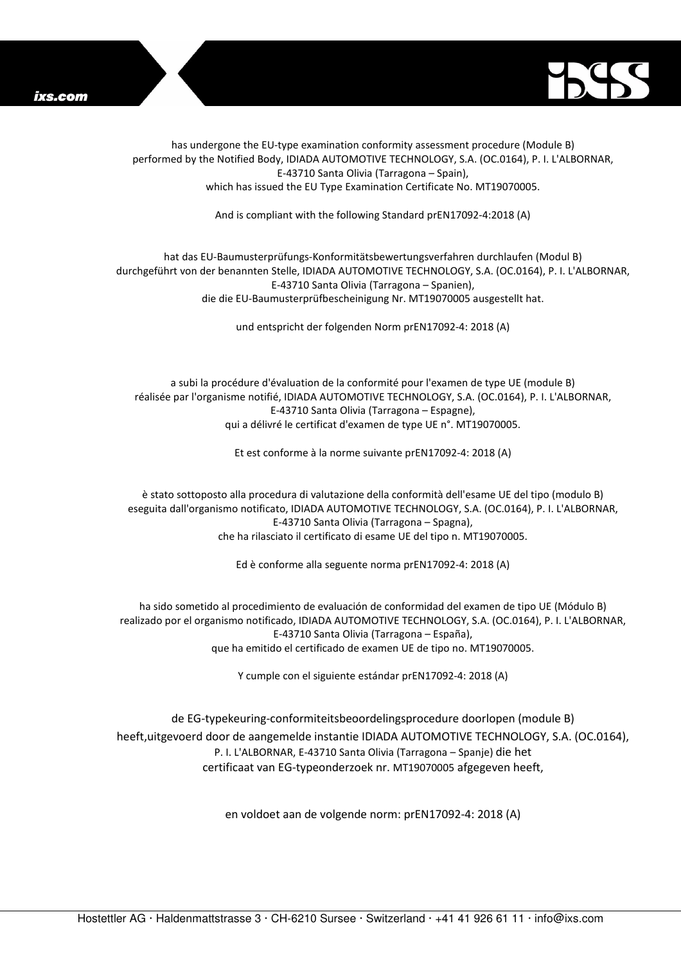



has undergone the EU-type examination conformity assessment procedure (Module B) performed by the Notified Body, IDIADA AUTOMOTIVE TECHNOLOGY, S.A. (OC.0164), P. I. L'ALBORNAR, E-43710 Santa Olivia (Tarragona – Spain), which has issued the EU Type Examination Certificate No. MT19070005.

And is compliant with the following Standard prEN17092-4:2018 (A)

## hat das EU-Baumusterprüfungs-Konformitätsbewertungsverfahren durchlaufen (Modul B) durchgeführt von der benannten Stelle, IDIADA AUTOMOTIVE TECHNOLOGY, S.A. (OC.0164), P. I. L'ALBORNAR, E-43710 Santa Olivia (Tarragona – Spanien), die die EU-Baumusterprüfbescheinigung Nr. MT19070005 ausgestellt hat.

und entspricht der folgenden Norm prEN17092-4: 2018 (A)

a subi la procédure d'évaluation de la conformité pour l'examen de type UE (module B) réalisée par l'organisme notifié, IDIADA AUTOMOTIVE TECHNOLOGY, S.A. (OC.0164), P. I. L'ALBORNAR, E-43710 Santa Olivia (Tarragona – Espagne), qui a délivré le certificat d'examen de type UE n°. MT19070005.

Et est conforme à la norme suivante prEN17092-4: 2018 (A)

è stato sottoposto alla procedura di valutazione della conformità dell'esame UE del tipo (modulo B) eseguita dall'organismo notificato, IDIADA AUTOMOTIVE TECHNOLOGY, S.A. (OC.0164), P. I. L'ALBORNAR, E-43710 Santa Olivia (Tarragona – Spagna), che ha rilasciato il certificato di esame UE del tipo n. MT19070005.

Ed è conforme alla seguente norma prEN17092-4: 2018 (A)

ha sido sometido al procedimiento de evaluación de conformidad del examen de tipo UE (Módulo B) realizado por el organismo notificado, IDIADA AUTOMOTIVE TECHNOLOGY, S.A. (OC.0164), P. I. L'ALBORNAR, E-43710 Santa Olivia (Tarragona – España), que ha emitido el certificado de examen UE de tipo no. MT19070005.

Y cumple con el siguiente estándar prEN17092-4: 2018 (A)

de EG-typekeuring-conformiteitsbeoordelingsprocedure doorlopen (module B) heeft,uitgevoerd door de aangemelde instantie IDIADA AUTOMOTIVE TECHNOLOGY, S.A. (OC.0164), P. I. L'ALBORNAR, E-43710 Santa Olivia (Tarragona – Spanje) die het certificaat van EG-typeonderzoek nr. MT19070005 afgegeven heeft,

en voldoet aan de volgende norm: prEN17092-4: 2018 (A)